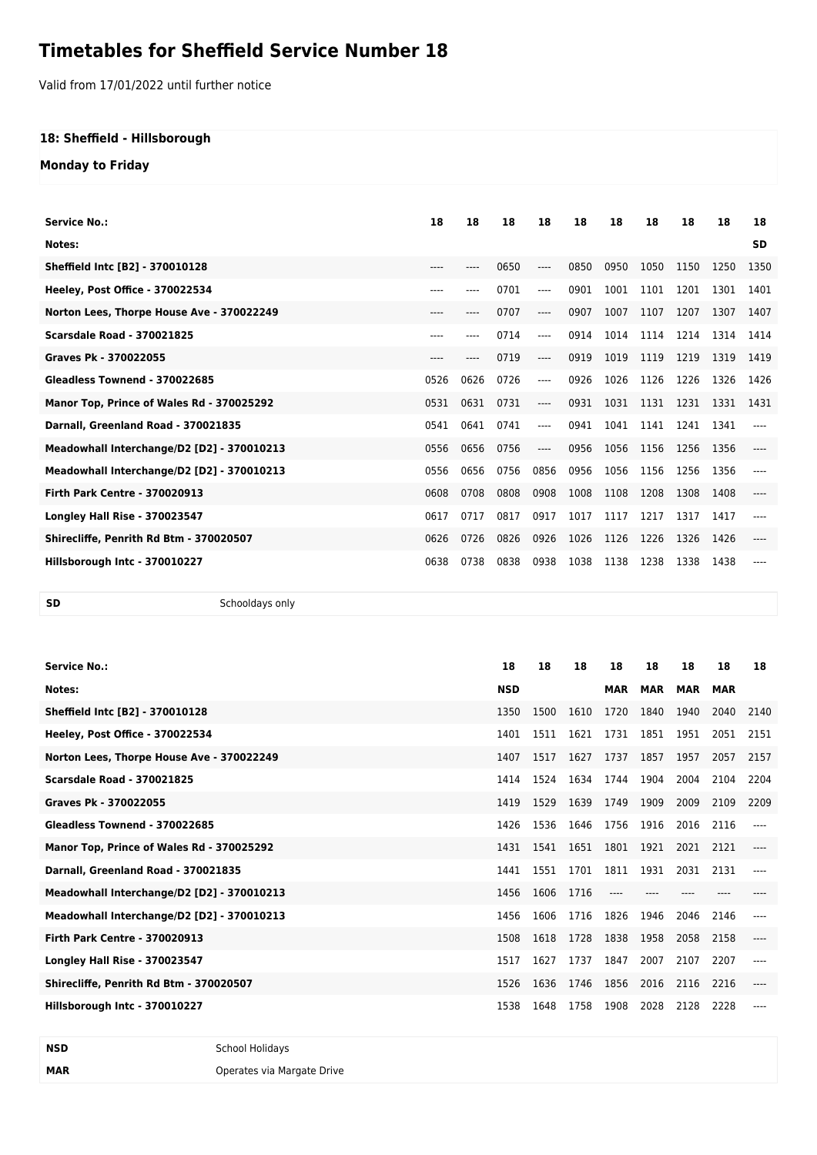# **Timetables for Sheffield Service Number 18**

Valid from 17/01/2022 until further notice

### **18: Sheffield - Hillsborough**

### **Monday to Friday**

| <b>Service No.:</b>                        | 18        | 18   | 18   | 18   | 18   | 18   | 18   | 18   | 18   | 18        |
|--------------------------------------------|-----------|------|------|------|------|------|------|------|------|-----------|
| Notes:                                     |           |      |      |      |      |      |      |      |      | <b>SD</b> |
| Sheffield Intc [B2] - 370010128            | $---$     |      | 0650 | ---- | 0850 | 0950 | 1050 | 1150 | 1250 | 1350      |
| Heeley, Post Office - 370022534            | $- - - -$ | ---- | 0701 | ---- | 0901 | 1001 | 1101 | 1201 | 1301 | 1401      |
| Norton Lees, Thorpe House Ave - 370022249  | $---$     | ---- | 0707 | ---- | 0907 | 1007 | 1107 | 1207 | 1307 | 1407      |
| <b>Scarsdale Road - 370021825</b>          | ----      | ---- | 0714 | ---- | 0914 | 1014 | 1114 | 1214 | 1314 | 1414      |
| Graves Pk - 370022055                      | $---$     |      | 0719 | ---- | 0919 | 1019 | 1119 | 1219 | 1319 | 1419      |
| Gleadless Townend - 370022685              | 0526      | 0626 | 0726 | ---- | 0926 | 1026 | 1126 | 1226 | 1326 | 1426      |
| Manor Top, Prince of Wales Rd - 370025292  | 0531      | 0631 | 0731 | ---- | 0931 | 1031 | 1131 | 1231 | 1331 | 1431      |
| Darnall, Greenland Road - 370021835        | 0541      | 0641 | 0741 | ---- | 0941 | 1041 | 1141 | 1241 | 1341 |           |
| Meadowhall Interchange/D2 [D2] - 370010213 | 0556      | 0656 | 0756 | ---- | 0956 | 1056 | 1156 | 1256 | 1356 |           |
| Meadowhall Interchange/D2 [D2] - 370010213 | 0556      | 0656 | 0756 | 0856 | 0956 | 1056 | 1156 | 1256 | 1356 |           |
| <b>Firth Park Centre - 370020913</b>       | 0608      | 0708 | 0808 | 0908 | 1008 | 1108 | 1208 | 1308 | 1408 | ----      |
| <b>Longley Hall Rise - 370023547</b>       | 0617      | 0717 | 0817 | 0917 | 1017 | 1117 | 1217 | 1317 | 1417 |           |
| Shirecliffe, Penrith Rd Btm - 370020507    | 0626      | 0726 | 0826 | 0926 | 1026 | 1126 | 1226 | 1326 | 1426 |           |
| Hillsborough Intc - 370010227              | 0638      | 0738 | 0838 | 0938 | 1038 | 1138 | 1238 | 1338 | 1438 |           |

**SD** Schooldays only

| <b>Service No.:</b>                        | 18         | 18   | 18   | 18         | 18         | 18         | 18         | 18   |
|--------------------------------------------|------------|------|------|------------|------------|------------|------------|------|
| Notes:                                     | <b>NSD</b> |      |      | <b>MAR</b> | <b>MAR</b> | <b>MAR</b> | <b>MAR</b> |      |
| <b>Sheffield Intc [B2] - 370010128</b>     | 1350       | 1500 | 1610 | 1720       | 1840       | 1940       | 2040       | 2140 |
| Heeley, Post Office - 370022534            | 1401       | 1511 | 1621 | 1731       | 1851       | 1951       | 2051       | 2151 |
| Norton Lees, Thorpe House Ave - 370022249  | 1407       | 1517 | 1627 | 1737       | 1857       | 1957       | 2057       | 2157 |
| <b>Scarsdale Road - 370021825</b>          | 1414       | 1524 | 1634 | 1744       | 1904       | 2004       | 2104       | 2204 |
| Graves Pk - 370022055                      | 1419       | 1529 | 1639 | 1749       | 1909       | 2009       | 2109       | 2209 |
| Gleadless Townend - 370022685              | 1426       | 1536 | 1646 | 1756       | 1916       | 2016       | 2116       |      |
| Manor Top, Prince of Wales Rd - 370025292  | 1431       | 1541 | 1651 | 1801       | 1921       | 2021       | 2121       |      |
| Darnall, Greenland Road - 370021835        | 1441       | 1551 | 1701 | 1811       | 1931       | 2031       | 2131       |      |
| Meadowhall Interchange/D2 [D2] - 370010213 | 1456       | 1606 | 1716 | ----       |            |            |            |      |
| Meadowhall Interchange/D2 [D2] - 370010213 | 1456       | 1606 | 1716 | 1826       | 1946       | 2046       | 2146       |      |
| <b>Firth Park Centre - 370020913</b>       | 1508       | 1618 | 1728 | 1838       | 1958       | 2058       | 2158       |      |
| <b>Longley Hall Rise - 370023547</b>       | 1517       | 1627 | 1737 | 1847       | 2007       | 2107       | 2207       |      |
| Shirecliffe, Penrith Rd Btm - 370020507    | 1526       | 1636 | 1746 | 1856       | 2016       | 2116       | 2216       |      |
| Hillsborough Intc - 370010227              | 1538       | 1648 | 1758 | 1908       | 2028       | 2128       | 2228       |      |

**MAR MAR** Operates via Margate Drive